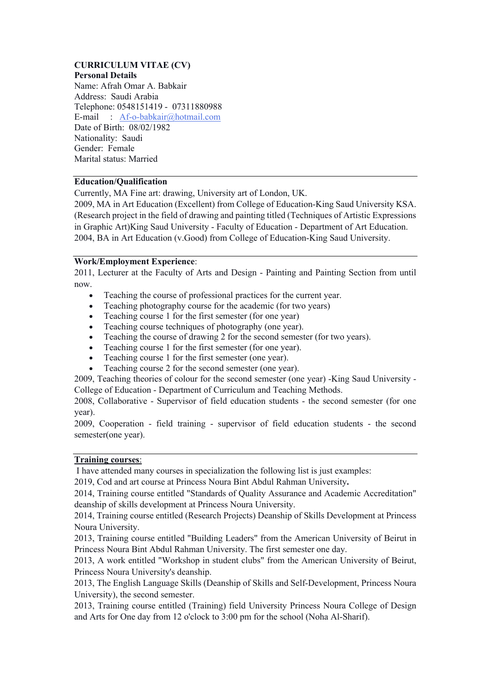# **CURRICULUM VITAE (CV) Personal Details**

Name: Afrah Omar A. Babkair Address: Saudi Arabia Telephone: 0548151419 - 07311880988 E-mail : Af-o-babkair@hotmail.com Date of Birth: 08/02/1982 Nationality: Saudi Gender: Female Marital status: Married

# **Education/Qualification**

Currently, MA Fine art: drawing, University art of London, UK.

2009, MA in Art Education (Excellent) from College of Education-King Saud University KSA. (Research project in the field of drawing and painting titled (Techniques of Artistic Expressions in Graphic Art)King Saud University - Faculty of Education - Department of Art Education. 2004, BA in Art Education (v.Good) from College of Education-King Saud University.

# **Work/Employment Experience**:

2011, Lecturer at the Faculty of Arts and Design - Painting and Painting Section from until now.

- Teaching the course of professional practices for the current year.
- Teaching photography course for the academic (for two years)
- Teaching course 1 for the first semester (for one year)
- Teaching course techniques of photography (one year).
- Teaching the course of drawing 2 for the second semester (for two years).
- Teaching course 1 for the first semester (for one year).
- Teaching course 1 for the first semester (one year).
- Teaching course 2 for the second semester (one year).

2009, Teaching theories of colour for the second semester (one year) -King Saud University - College of Education - Department of Curriculum and Teaching Methods.

2008, Collaborative - Supervisor of field education students - the second semester (for one year).

2009, Cooperation - field training - supervisor of field education students - the second semester(one year).

#### **Training courses**:

I have attended many courses in specialization the following list is just examples:

2019, Cod and art course at Princess Noura Bint Abdul Rahman University**.**

2014, Training course entitled "Standards of Quality Assurance and Academic Accreditation" deanship of skills development at Princess Noura University.

2014, Training course entitled (Research Projects) Deanship of Skills Development at Princess Noura University.

2013, Training course entitled "Building Leaders" from the American University of Beirut in Princess Noura Bint Abdul Rahman University. The first semester one day.

2013, A work entitled "Workshop in student clubs" from the American University of Beirut, Princess Noura University's deanship.

2013, The English Language Skills (Deanship of Skills and Self-Development, Princess Noura University), the second semester.

2013, Training course entitled (Training) field University Princess Noura College of Design and Arts for One day from 12 o'clock to 3:00 pm for the school (Noha Al-Sharif).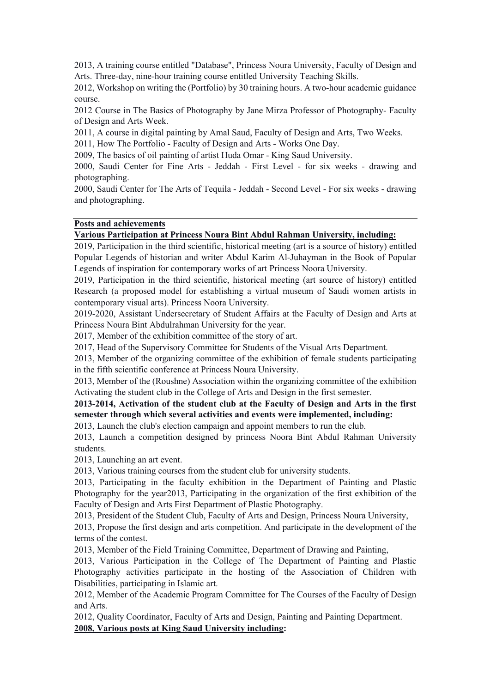2013, A training course entitled "Database", Princess Noura University, Faculty of Design and Arts. Three-day, nine-hour training course entitled University Teaching Skills.

2012, Workshop on writing the (Portfolio) by 30 training hours. A two-hour academic guidance course.

2012 Course in The Basics of Photography by Jane Mirza Professor of Photography- Faculty of Design and Arts Week.

2011, A course in digital painting by Amal Saud, Faculty of Design and Arts, Two Weeks.

2011, How The Portfolio - Faculty of Design and Arts - Works One Day.

2009, The basics of oil painting of artist Huda Omar - King Saud University.

2000, Saudi Center for Fine Arts - Jeddah - First Level - for six weeks - drawing and photographing.

2000, Saudi Center for The Arts of Tequila - Jeddah - Second Level - For six weeks - drawing and photographing.

#### **Posts and achievements**

# **Various Participation at Princess Noura Bint Abdul Rahman University, including:**

2019, Participation in the third scientific, historical meeting (art is a source of history) entitled Popular Legends of historian and writer Abdul Karim Al-Juhayman in the Book of Popular Legends of inspiration for contemporary works of art Princess Noora University.

2019, Participation in the third scientific, historical meeting (art source of history) entitled Research (a proposed model for establishing a virtual museum of Saudi women artists in contemporary visual arts). Princess Noora University.

2019-2020, Assistant Undersecretary of Student Affairs at the Faculty of Design and Arts at Princess Noura Bint Abdulrahman University for the year.

2017, Member of the exhibition committee of the story of art.

2017, Head of the Supervisory Committee for Students of the Visual Arts Department.

2013, Member of the organizing committee of the exhibition of female students participating in the fifth scientific conference at Princess Noura University.

2013, Member of the (Roushne) Association within the organizing committee of the exhibition Activating the student club in the College of Arts and Design in the first semester.

# **2013-2014, Activation of the student club at the Faculty of Design and Arts in the first semester through which several activities and events were implemented, including:**

2013, Launch the club's election campaign and appoint members to run the club.

2013, Launch a competition designed by princess Noora Bint Abdul Rahman University students.

2013, Launching an art event.

2013, Various training courses from the student club for university students.

2013, Participating in the faculty exhibition in the Department of Painting and Plastic Photography for the year2013, Participating in the organization of the first exhibition of the Faculty of Design and Arts First Department of Plastic Photography.

2013, President of the Student Club, Faculty of Arts and Design, Princess Noura University,

2013, Propose the first design and arts competition. And participate in the development of the terms of the contest.

2013, Member of the Field Training Committee, Department of Drawing and Painting,

2013, Various Participation in the College of The Department of Painting and Plastic Photography activities participate in the hosting of the Association of Children with Disabilities, participating in Islamic art.

2012, Member of the Academic Program Committee for The Courses of the Faculty of Design and Arts.

2012, Quality Coordinator, Faculty of Arts and Design, Painting and Painting Department. **2008, Various posts at King Saud University including:**